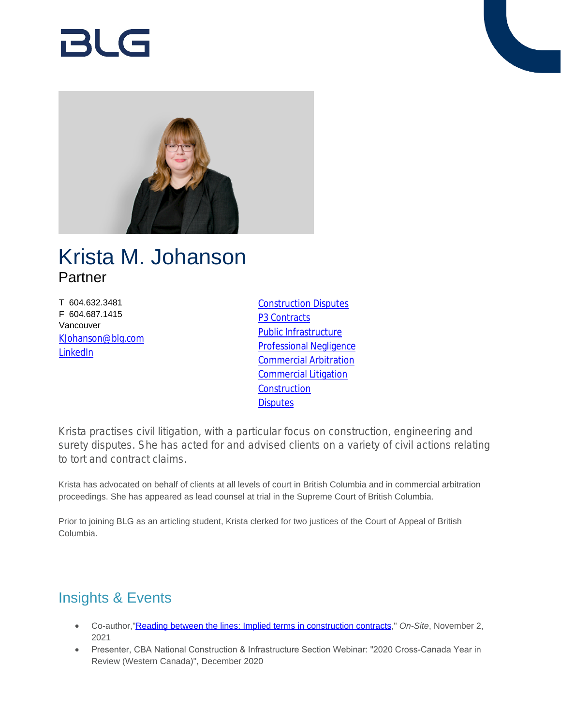# RI G



# Krista M. Johanson **Partner**

T 604.632.3481 F 604.687.1415 Vancouver [KJohanson@blg.com](mailto:KJohanson@blg.com) [LinkedIn](http://ca.linkedin.com/in/kristajohanson)

[Construction Disputes](https://www.blg.com/en/services/practice-areas/disputes/construction-disputes) P<sub>3</sub> Contracts [Public Infrastructure](https://www.blg.com/en/services/industries/infrastructure/public-infrastructure) [Professional Negligence](https://www.blg.com/en/services/practice-areas/disputes/professional-negligence) [Commercial Arbitration](https://www.blg.com/en/services/practice-areas/disputes/commercial-arbitration) [Commercial Litigation](https://www.blg.com/en/services/practice-areas/disputes/commercial-litigation) **[Construction](https://www.blg.com/en/services/practice-areas/construction) [Disputes](https://www.blg.com/en/services/practice-areas/disputes)** 

Krista practises civil litigation, with a particular focus on construction, engineering and surety disputes. She has acted for and advised clients on a variety of civil actions relating to tort and contract claims.

Krista has advocated on behalf of clients at all levels of court in British Columbia and in commercial arbitration proceedings. She has appeared as lead counsel at trial in the Supreme Court of British Columbia.

Prior to joining BLG as an articling student, Krista clerked for two justices of the Court of Appeal of British Columbia.

# Insights & Events

- Co-author,["Reading between the lines: Implied terms in construction contracts](https://www.on-sitemag.com/features/reading-between-the-lines-implied-terms-in-construction-contracts/)," *On-Site*, November 2, 2021
- Presenter, CBA National Construction & Infrastructure Section Webinar: "2020 Cross-Canada Year in Review (Western Canada)", December 2020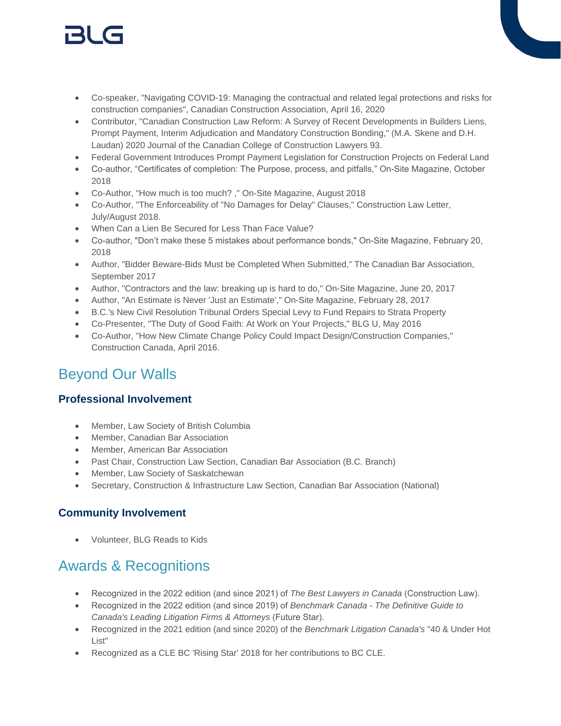# 151 (s

- Co-speaker, "Navigating COVID-19: Managing the contractual and related legal protections and risks for construction companies", Canadian Construction Association, April 16, 2020
- Contributor, "Canadian Construction Law Reform: A Survey of Recent Developments in Builders Liens, Prompt Payment, Interim Adjudication and Mandatory Construction Bonding," (M.A. Skene and D.H. Laudan) 2020 Journal of the Canadian College of Construction Lawyers 93.
- Federal Government Introduces Prompt Payment Legislation for Construction Projects on Federal Land
- Co-author, "Certificates of completion: The Purpose, process, and pitfalls," On-Site Magazine, October 2018
- Co-Author, "How much is too much? ," On-Site Magazine, August 2018
- Co-Author, "The Enforceability of "No Damages for Delay" Clauses," Construction Law Letter, July/August 2018.
- When Can a Lien Be Secured for Less Than Face Value?
- Co-author, "Don't make these 5 mistakes about performance bonds," On-Site Magazine, February 20, 2018
- Author, "Bidder Beware-Bids Must be Completed When Submitted," The Canadian Bar Association, September 2017
- Author, "Contractors and the law: breaking up is hard to do," On-Site Magazine, June 20, 2017
- Author, "An Estimate is Never 'Just an Estimate'," On-Site Magazine, February 28, 2017
- B.C.'s New Civil Resolution Tribunal Orders Special Levy to Fund Repairs to Strata Property
- Co-Presenter, "The Duty of Good Faith: At Work on Your Projects," BLG U, May 2016
- Co-Author, "How New Climate Change Policy Could Impact Design/Construction Companies," Construction Canada, April 2016.

# Beyond Our Walls

#### **Professional Involvement**

- Member, Law Society of British Columbia
- Member, Canadian Bar Association
- Member, American Bar Association
- Past Chair, Construction Law Section, Canadian Bar Association (B.C. Branch)
- Member, Law Society of Saskatchewan
- Secretary, Construction & Infrastructure Law Section, Canadian Bar Association (National)

#### **Community Involvement**

Volunteer, BLG Reads to Kids

### Awards & Recognitions

- Recognized in the 2022 edition (and since 2021) of *The Best Lawyers in Canada* (Construction Law).
- Recognized in the 2022 edition (and since 2019) of *Benchmark Canada The Definitive Guide to Canada's Leading Litigation Firms & Attorneys* (Future Star).
- Recognized in the 2021 edition (and since 2020) of the *Benchmark Litigation Canada's* "40 & Under Hot List"
- Recognized as a CLE BC 'Rising Star' 2018 for her contributions to BC CLE.